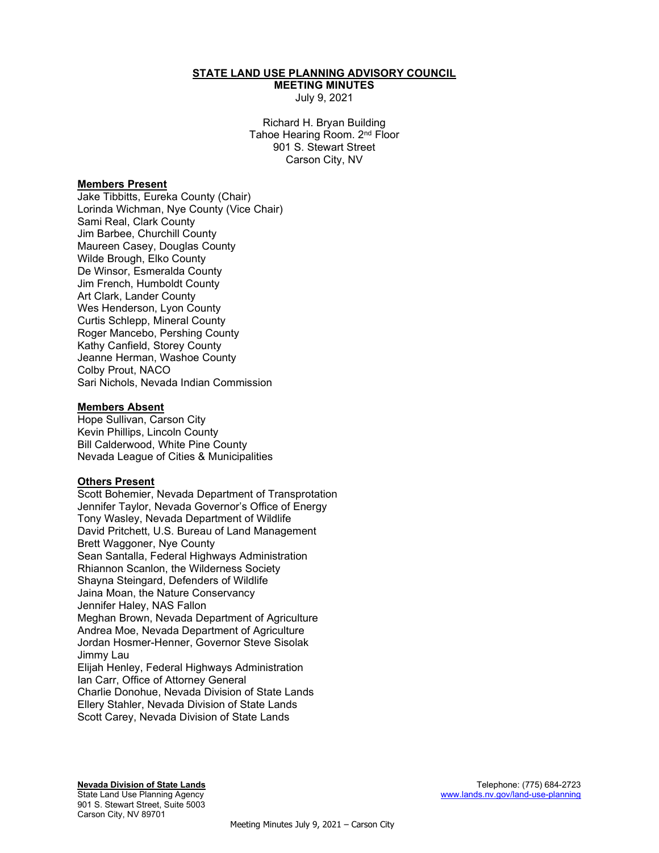## STATE LAND USE PLANNING ADVISORY COUNCIL

MEETING MINUTES July 9, 2021

Richard H. Bryan Building Tahoe Hearing Room. 2nd Floor 901 S. Stewart Street Carson City, NV

#### Members Present

Jake Tibbitts, Eureka County (Chair) Lorinda Wichman, Nye County (Vice Chair) Sami Real, Clark County Jim Barbee, Churchill County Maureen Casey, Douglas County Wilde Brough, Elko County De Winsor, Esmeralda County Jim French, Humboldt County Art Clark, Lander County Wes Henderson, Lyon County Curtis Schlepp, Mineral County Roger Mancebo, Pershing County Kathy Canfield, Storey County Jeanne Herman, Washoe County Colby Prout, NACO Sari Nichols, Nevada Indian Commission

#### Members Absent

Hope Sullivan, Carson City Kevin Phillips, Lincoln County Bill Calderwood, White Pine County Nevada League of Cities & Municipalities

## Others Present

Scott Bohemier, Nevada Department of Transprotation Jennifer Taylor, Nevada Governor's Office of Energy Tony Wasley, Nevada Department of Wildlife David Pritchett, U.S. Bureau of Land Management Brett Waggoner, Nye County Sean Santalla, Federal Highways Administration Rhiannon Scanlon, the Wilderness Society Shayna Steingard, Defenders of Wildlife Jaina Moan, the Nature Conservancy Jennifer Haley, NAS Fallon Meghan Brown, Nevada Department of Agriculture Andrea Moe, Nevada Department of Agriculture Jordan Hosmer-Henner, Governor Steve Sisolak Jimmy Lau Elijah Henley, Federal Highways Administration Ian Carr, Office of Attorney General Charlie Donohue, Nevada Division of State Lands Ellery Stahler, Nevada Division of State Lands

Scott Carey, Nevada Division of State Lands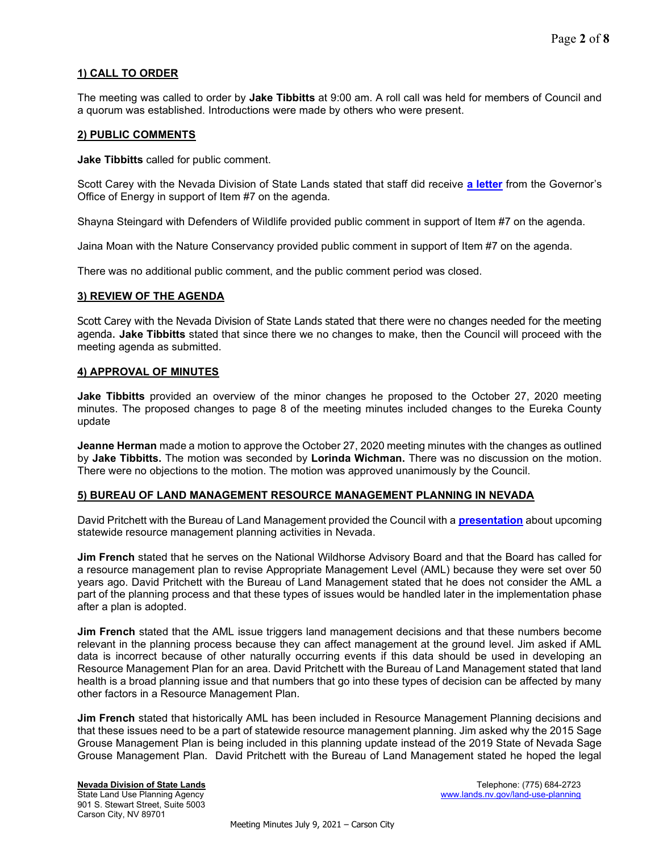# 1) CALL TO ORDER

The meeting was called to order by Jake Tibbitts at 9:00 am. A roll call was held for members of Council and a quorum was established. Introductions were made by others who were present.

## 2) PUBLIC COMMENTS

Jake Tibbitts called for public comment.

Scott Carey with the Nevada Division of State Lands stated that staff did receive [a letter](https://lands.nv.gov/uploads/documents/Governors_Office_of_Energy_Item_7_Support_Letter.pdf) from the Governor's Office of Energy in support of Item #7 on the agenda.

Shayna Steingard with Defenders of Wildlife provided public comment in support of Item #7 on the agenda.

Jaina Moan with the Nature Conservancy provided public comment in support of Item #7 on the agenda.

There was no additional public comment, and the public comment period was closed.

# 3) REVIEW OF THE AGENDA

Scott Carey with the Nevada Division of State Lands stated that there were no changes needed for the meeting agenda. Jake Tibbitts stated that since there we no changes to make, then the Council will proceed with the meeting agenda as submitted.

#### 4) APPROVAL OF MINUTES

Jake Tibbitts provided an overview of the minor changes he proposed to the October 27, 2020 meeting minutes. The proposed changes to page 8 of the meeting minutes included changes to the Eureka County update

**Jeanne Herman** made a motion to approve the October 27, 2020 meeting minutes with the changes as outlined by Jake Tibbitts. The motion was seconded by Lorinda Wichman. There was no discussion on the motion. There were no objections to the motion. The motion was approved unanimously by the Council.

## 5) BUREAU OF LAND MANAGEMENT RESOURCE MANAGEMENT PLANNING IN NEVADA

David Pritchett with the Bureau of Land Management provided the Council with a **[presentation](https://lands.nv.gov/uploads/documents/BLM_Resource_Management_Planning_Presentation_(FINAL).pdf)** about upcoming statewide resource management planning activities in Nevada.

Jim French stated that he serves on the National Wildhorse Advisory Board and that the Board has called for a resource management plan to revise Appropriate Management Level (AML) because they were set over 50 years ago. David Pritchett with the Bureau of Land Management stated that he does not consider the AML a part of the planning process and that these types of issues would be handled later in the implementation phase after a plan is adopted.

**Jim French** stated that the AML issue triggers land management decisions and that these numbers become relevant in the planning process because they can affect management at the ground level. Jim asked if AML data is incorrect because of other naturally occurring events if this data should be used in developing an Resource Management Plan for an area. David Pritchett with the Bureau of Land Management stated that land health is a broad planning issue and that numbers that go into these types of decision can be affected by many other factors in a Resource Management Plan.

**Jim French** stated that historically AML has been included in Resource Management Planning decisions and that these issues need to be a part of statewide resource management planning. Jim asked why the 2015 Sage Grouse Management Plan is being included in this planning update instead of the 2019 State of Nevada Sage Grouse Management Plan. David Pritchett with the Bureau of Land Management stated he hoped the legal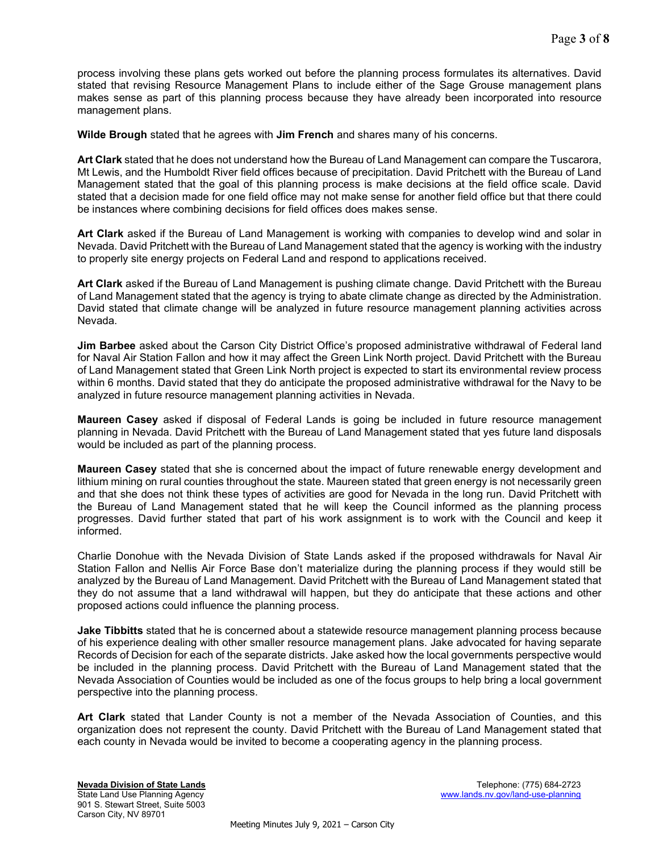process involving these plans gets worked out before the planning process formulates its alternatives. David stated that revising Resource Management Plans to include either of the Sage Grouse management plans makes sense as part of this planning process because they have already been incorporated into resource management plans.

Wilde Brough stated that he agrees with Jim French and shares many of his concerns.

Art Clark stated that he does not understand how the Bureau of Land Management can compare the Tuscarora, Mt Lewis, and the Humboldt River field offices because of precipitation. David Pritchett with the Bureau of Land Management stated that the goal of this planning process is make decisions at the field office scale. David stated that a decision made for one field office may not make sense for another field office but that there could be instances where combining decisions for field offices does makes sense.

Art Clark asked if the Bureau of Land Management is working with companies to develop wind and solar in Nevada. David Pritchett with the Bureau of Land Management stated that the agency is working with the industry to properly site energy projects on Federal Land and respond to applications received.

Art Clark asked if the Bureau of Land Management is pushing climate change. David Pritchett with the Bureau of Land Management stated that the agency is trying to abate climate change as directed by the Administration. David stated that climate change will be analyzed in future resource management planning activities across Nevada.

**Jim Barbee** asked about the Carson City District Office's proposed administrative withdrawal of Federal land for Naval Air Station Fallon and how it may affect the Green Link North project. David Pritchett with the Bureau of Land Management stated that Green Link North project is expected to start its environmental review process within 6 months. David stated that they do anticipate the proposed administrative withdrawal for the Navy to be analyzed in future resource management planning activities in Nevada.

Maureen Casey asked if disposal of Federal Lands is going be included in future resource management planning in Nevada. David Pritchett with the Bureau of Land Management stated that yes future land disposals would be included as part of the planning process.

Maureen Casey stated that she is concerned about the impact of future renewable energy development and lithium mining on rural counties throughout the state. Maureen stated that green energy is not necessarily green and that she does not think these types of activities are good for Nevada in the long run. David Pritchett with the Bureau of Land Management stated that he will keep the Council informed as the planning process progresses. David further stated that part of his work assignment is to work with the Council and keep it informed.

Charlie Donohue with the Nevada Division of State Lands asked if the proposed withdrawals for Naval Air Station Fallon and Nellis Air Force Base don't materialize during the planning process if they would still be analyzed by the Bureau of Land Management. David Pritchett with the Bureau of Land Management stated that they do not assume that a land withdrawal will happen, but they do anticipate that these actions and other proposed actions could influence the planning process.

**Jake Tibbitts** stated that he is concerned about a statewide resource management planning process because of his experience dealing with other smaller resource management plans. Jake advocated for having separate Records of Decision for each of the separate districts. Jake asked how the local governments perspective would be included in the planning process. David Pritchett with the Bureau of Land Management stated that the Nevada Association of Counties would be included as one of the focus groups to help bring a local government perspective into the planning process.

Art Clark stated that Lander County is not a member of the Nevada Association of Counties, and this organization does not represent the county. David Pritchett with the Bureau of Land Management stated that each county in Nevada would be invited to become a cooperating agency in the planning process.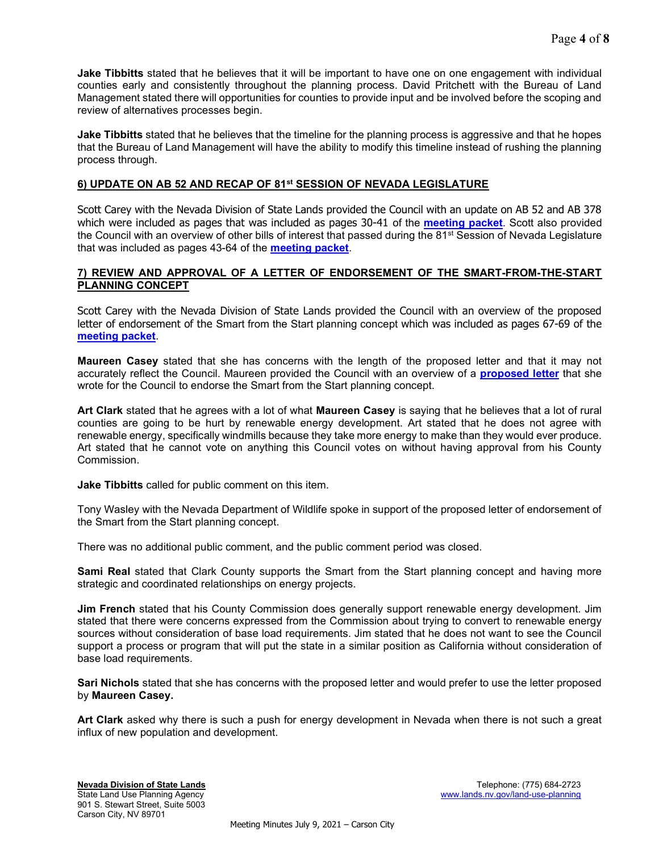**Jake Tibbitts** stated that he believes that it will be important to have one on one engagement with individual counties early and consistently throughout the planning process. David Pritchett with the Bureau of Land Management stated there will opportunities for counties to provide input and be involved before the scoping and review of alternatives processes begin.

Jake Tibbitts stated that he believes that the timeline for the planning process is aggressive and that he hopes that the Bureau of Land Management will have the ability to modify this timeline instead of rushing the planning process through.

# 6) UPDATE ON AB 52 AND RECAP OF 81st SESSION OF NEVADA LEGISLATURE

Scott Carey with the Nevada Division of State Lands provided the Council with an update on AB 52 and AB 378 which were included as pages that was included as pages 30-41 of the **meeting packet**. Scott also provided the Council with an overview of other bills of interest that passed during the 81<sup>st</sup> Session of Nevada Legislature that was included as pages 43-64 of the **meeting packet**.

# 7) REVIEW AND APPROVAL OF A LETTER OF ENDORSEMENT OF THE SMART-FROM-THE-START PLANNING CONCEPT

Scott Carey with the Nevada Division of State Lands provided the Council with an overview of the proposed letter of endorsement of the Smart from the Start planning concept which was included as pages 67-69 of the [meeting packet](https://clearinghouse.nv.gov/HTMLtoPDF/ViewSavedForms.aspx?DocLoc=SITE&DocKey=1830&ViewKey=L2RNRBTBXD).

Maureen Casey stated that she has concerns with the length of the proposed letter and that it may not accurately reflect the Council. Maureen provided the Council with an overview of a **[proposed letter](https://lands.nv.gov/uploads/documents/Member_Casey_Support_of_Renewable_Energy_Development_Letter.pdf)** that she wrote for the Council to endorse the Smart from the Start planning concept.

Art Clark stated that he agrees with a lot of what Maureen Casey is saying that he believes that a lot of rural counties are going to be hurt by renewable energy development. Art stated that he does not agree with renewable energy, specifically windmills because they take more energy to make than they would ever produce. Art stated that he cannot vote on anything this Council votes on without having approval from his County Commission.

Jake Tibbitts called for public comment on this item.

Tony Wasley with the Nevada Department of Wildlife spoke in support of the proposed letter of endorsement of the Smart from the Start planning concept.

There was no additional public comment, and the public comment period was closed.

**Sami Real** stated that Clark County supports the Smart from the Start planning concept and having more strategic and coordinated relationships on energy projects.

**Jim French** stated that his County Commission does generally support renewable energy development. Jim stated that there were concerns expressed from the Commission about trying to convert to renewable energy sources without consideration of base load requirements. Jim stated that he does not want to see the Council support a process or program that will put the state in a similar position as California without consideration of base load requirements.

Sari Nichols stated that she has concerns with the proposed letter and would prefer to use the letter proposed by Maureen Casey.

Art Clark asked why there is such a push for energy development in Nevada when there is not such a great influx of new population and development.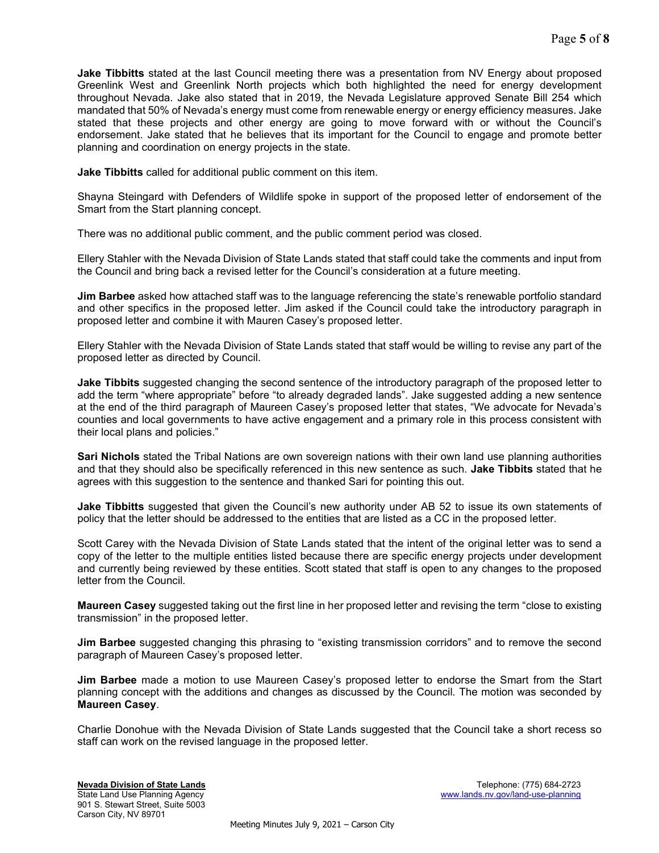**Jake Tibbitts** stated at the last Council meeting there was a presentation from NV Energy about proposed Greenlink West and Greenlink North projects which both highlighted the need for energy development throughout Nevada. Jake also stated that in 2019, the Nevada Legislature approved Senate Bill 254 which mandated that 50% of Nevada's energy must come from renewable energy or energy efficiency measures. Jake stated that these projects and other energy are going to move forward with or without the Council's endorsement. Jake stated that he believes that its important for the Council to engage and promote better planning and coordination on energy projects in the state.

Jake Tibbitts called for additional public comment on this item.

Shayna Steingard with Defenders of Wildlife spoke in support of the proposed letter of endorsement of the Smart from the Start planning concept.

There was no additional public comment, and the public comment period was closed.

Ellery Stahler with the Nevada Division of State Lands stated that staff could take the comments and input from the Council and bring back a revised letter for the Council's consideration at a future meeting.

Jim Barbee asked how attached staff was to the language referencing the state's renewable portfolio standard and other specifics in the proposed letter. Jim asked if the Council could take the introductory paragraph in proposed letter and combine it with Mauren Casey's proposed letter.

Ellery Stahler with the Nevada Division of State Lands stated that staff would be willing to revise any part of the proposed letter as directed by Council.

**Jake Tibbits** suggested changing the second sentence of the introductory paragraph of the proposed letter to add the term "where appropriate" before "to already degraded lands". Jake suggested adding a new sentence at the end of the third paragraph of Maureen Casey's proposed letter that states, "We advocate for Nevada's counties and local governments to have active engagement and a primary role in this process consistent with their local plans and policies."

Sari Nichols stated the Tribal Nations are own sovereign nations with their own land use planning authorities and that they should also be specifically referenced in this new sentence as such. Jake Tibbits stated that he agrees with this suggestion to the sentence and thanked Sari for pointing this out.

**Jake Tibbitts** suggested that given the Council's new authority under AB 52 to issue its own statements of policy that the letter should be addressed to the entities that are listed as a CC in the proposed letter.

Scott Carey with the Nevada Division of State Lands stated that the intent of the original letter was to send a copy of the letter to the multiple entities listed because there are specific energy projects under development and currently being reviewed by these entities. Scott stated that staff is open to any changes to the proposed letter from the Council.

Maureen Casey suggested taking out the first line in her proposed letter and revising the term "close to existing transmission" in the proposed letter.

**Jim Barbee** suggested changing this phrasing to "existing transmission corridors" and to remove the second paragraph of Maureen Casey's proposed letter.

Jim Barbee made a motion to use Maureen Casey's proposed letter to endorse the Smart from the Start planning concept with the additions and changes as discussed by the Council. The motion was seconded by Maureen Casey.

Charlie Donohue with the Nevada Division of State Lands suggested that the Council take a short recess so staff can work on the revised language in the proposed letter.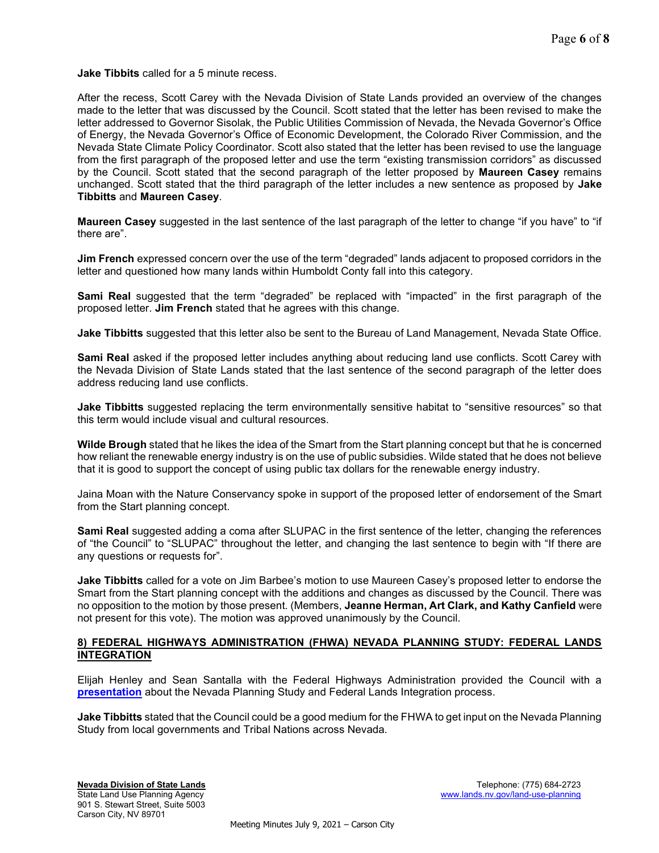Jake Tibbits called for a 5 minute recess.

After the recess, Scott Carey with the Nevada Division of State Lands provided an overview of the changes made to the letter that was discussed by the Council. Scott stated that the letter has been revised to make the letter addressed to Governor Sisolak, the Public Utilities Commission of Nevada, the Nevada Governor's Office of Energy, the Nevada Governor's Office of Economic Development, the Colorado River Commission, and the Nevada State Climate Policy Coordinator. Scott also stated that the letter has been revised to use the language from the first paragraph of the proposed letter and use the term "existing transmission corridors" as discussed by the Council. Scott stated that the second paragraph of the letter proposed by Maureen Casey remains unchanged. Scott stated that the third paragraph of the letter includes a new sentence as proposed by **Jake** Tibbitts and Maureen Casey.

Maureen Casey suggested in the last sentence of the last paragraph of the letter to change "if you have" to "if there are".

Jim French expressed concern over the use of the term "degraded" lands adjacent to proposed corridors in the letter and questioned how many lands within Humboldt Conty fall into this category.

Sami Real suggested that the term "degraded" be replaced with "impacted" in the first paragraph of the proposed letter. Jim French stated that he agrees with this change.

**Jake Tibbitts** suggested that this letter also be sent to the Bureau of Land Management, Nevada State Office.

Sami Real asked if the proposed letter includes anything about reducing land use conflicts. Scott Carey with the Nevada Division of State Lands stated that the last sentence of the second paragraph of the letter does address reducing land use conflicts.

Jake Tibbitts suggested replacing the term environmentally sensitive habitat to "sensitive resources" so that this term would include visual and cultural resources.

Wilde Brough stated that he likes the idea of the Smart from the Start planning concept but that he is concerned how reliant the renewable energy industry is on the use of public subsidies. Wilde stated that he does not believe that it is good to support the concept of using public tax dollars for the renewable energy industry.

Jaina Moan with the Nature Conservancy spoke in support of the proposed letter of endorsement of the Smart from the Start planning concept.

Sami Real suggested adding a coma after SLUPAC in the first sentence of the letter, changing the references of "the Council" to "SLUPAC" throughout the letter, and changing the last sentence to begin with "If there are any questions or requests for".

Jake Tibbitts called for a vote on Jim Barbee's motion to use Maureen Casey's proposed letter to endorse the Smart from the Start planning concept with the additions and changes as discussed by the Council. There was no opposition to the motion by those present. (Members, Jeanne Herman, Art Clark, and Kathy Canfield were not present for this vote). The motion was approved unanimously by the Council.

## 8) FEDERAL HIGHWAYS ADMINISTRATION (FHWA) NEVADA PLANNING STUDY: FEDERAL LANDS INTEGRATION

Elijah Henley and Sean Santalla with the Federal Highways Administration provided the Council with a [presentation](https://lands.nv.gov/uploads/documents/FHWA_Presentation.pdf) about the Nevada Planning Study and Federal Lands Integration process.

Jake Tibbitts stated that the Council could be a good medium for the FHWA to get input on the Nevada Planning Study from local governments and Tribal Nations across Nevada.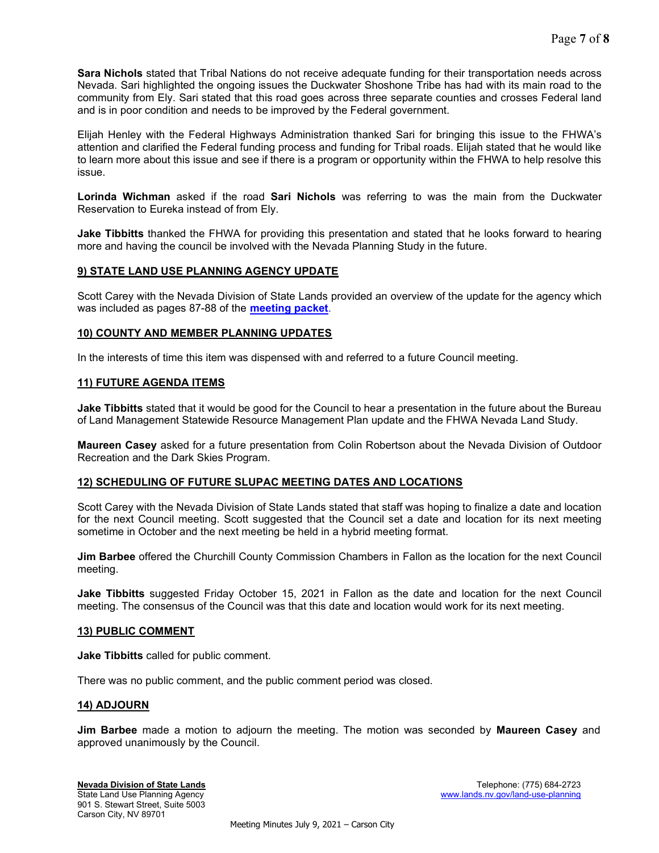Sara Nichols stated that Tribal Nations do not receive adequate funding for their transportation needs across Nevada. Sari highlighted the ongoing issues the Duckwater Shoshone Tribe has had with its main road to the community from Ely. Sari stated that this road goes across three separate counties and crosses Federal land and is in poor condition and needs to be improved by the Federal government.

Elijah Henley with the Federal Highways Administration thanked Sari for bringing this issue to the FHWA's attention and clarified the Federal funding process and funding for Tribal roads. Elijah stated that he would like to learn more about this issue and see if there is a program or opportunity within the FHWA to help resolve this issue.

Lorinda Wichman asked if the road Sari Nichols was referring to was the main from the Duckwater Reservation to Eureka instead of from Ely.

**Jake Tibbitts** thanked the FHWA for providing this presentation and stated that he looks forward to hearing more and having the council be involved with the Nevada Planning Study in the future.

# 9) STATE LAND USE PLANNING AGENCY UPDATE

Scott Carey with the Nevada Division of State Lands provided an overview of the update for the agency which was included as pages 87-88 of the **[meeting packet](https://clearinghouse.nv.gov/HTMLtoPDF/ViewSavedForms.aspx?DocLoc=SITE&DocKey=1830&ViewKey=L2RNRBTBXD)**.

# 10) COUNTY AND MEMBER PLANNING UPDATES

In the interests of time this item was dispensed with and referred to a future Council meeting.

# 11) FUTURE AGENDA ITEMS

Jake Tibbitts stated that it would be good for the Council to hear a presentation in the future about the Bureau of Land Management Statewide Resource Management Plan update and the FHWA Nevada Land Study.

Maureen Casey asked for a future presentation from Colin Robertson about the Nevada Division of Outdoor Recreation and the Dark Skies Program.

## 12) SCHEDULING OF FUTURE SLUPAC MEETING DATES AND LOCATIONS

Scott Carey with the Nevada Division of State Lands stated that staff was hoping to finalize a date and location for the next Council meeting. Scott suggested that the Council set a date and location for its next meeting sometime in October and the next meeting be held in a hybrid meeting format.

Jim Barbee offered the Churchill County Commission Chambers in Fallon as the location for the next Council meeting.

**Jake Tibbitts** suggested Friday October 15, 2021 in Fallon as the date and location for the next Council meeting. The consensus of the Council was that this date and location would work for its next meeting.

## 13) PUBLIC COMMENT

Jake Tibbitts called for public comment.

There was no public comment, and the public comment period was closed.

## 14) ADJOURN

**Jim Barbee** made a motion to adjourn the meeting. The motion was seconded by **Maureen Casey** and approved unanimously by the Council.